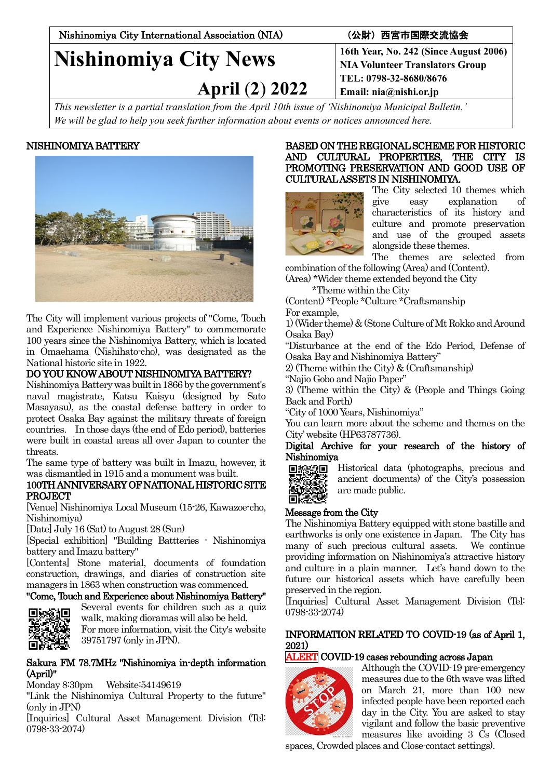Nishinomiya City International Association (NIA) (公財)西宮市国際交流協会

# **Nishinomiya City News**

 **April** (**2**) **2022**

**16th Year, No. 242 (Since August 2006) NIA Volunteer Translators Group TEL: 0798-32-8680/8676 Email: nia@nishi.or.jp**

*This newsletter is a partial translation from the April 10th issue of 'Nishinomiya Municipal Bulletin.' We will be glad to help you seek further information about events or notices announced here.*

# NISHINOMIYA BATTERY



The City will implement various projects of "Come, Touch and Experience Nishinomiya Battery" to commemorate 100 years since the Nishinomiya Battery, which is located in Omaehama (Nishihato-cho), was designated as the National historic site in 1922.

# DO YOU KNOW ABOUT NISHINOMIYA BATTERY?

Nishinomiya Battery was built in 1866 by the government's naval magistrate, Katsu Kaisyu (designed by Sato Masayasu), as the coastal defense battery in order to protect Osaka Bay against the military threats of foreign countries. In those days (the end of Edo period), batteries were built in coastal areas all over Japan to counter the threats.

The same type of battery was built in Imazu, however, it was dismantled in 1915 and a monument was built.

### 100TH ANNIVERSARY OF NATIONAL HISTORIC SITE PROJECT

[Venue] Nishinomiya Local Museum (15-26, Kawazoe-cho, Nishinomiya)

[Date] July 16 (Sat) to August 28 (Sun)

[Special exhibition] "Building Battteries - Nishinomiya battery and Imazu battery"

[Contents] Stone material, documents of foundation construction, drawings, and diaries of construction site managers in 1863 when construction was commenced.

# "Come, Touch and Experience about Nishinomiya Battery"



Several events for children such as a quiz walk, making dioramas will also be held. For more information, visit the City's website 39751797 (only in JPN).

### Sakura FM 78.7MHz "Nishinomiya in-depth information (April)"

Monday 8:30pm Website:54149619

"Link the Nishinomiya Cultural Property to the future" (only in JPN)

[Inquiries] Cultural Asset Management Division (Tel: 0798-33-2074)

### BASED ON THE REGIONAL SCHEME FOR HISTORIC AND CULTURAL PROPERTIES, THE CITY IS PROMOTING PRESERVATION AND GOOD USE OF CULTURAL ASSETS IN NISHINOMIYA.



The City selected 10 themes which give easy explanation of characteristics of its history and culture and promote preservation and use of the grouped assets alongside these themes.

The themes are selected from combination of the following (Area) and (Content).

(Area) \*Wider theme extended beyond the City

\*Theme within the City

(Content) \*People \*Culture \*Craftsmanship For example,

1) (Wider theme) &(Stone Culture of Mt Rokko and Around Osaka Bay)

"Disturbance at the end of the Edo Period, Defense of Osaka Bay and Nishinomiya Battery"

2) (Theme within the City) & (Craftsmanship)

"Najio Gobo and Najio Paper"

3) (Theme within the City) & (People and Things Going Back and Forth)

"City of 1000 Years, Nishinomiya"

You can learn more about the scheme and themes on the City' website (HP63787736).

Digital Archive for your research of the history of Nishinomiya

Historical data (photographs, precious and 回投织回 ancient documents) of the City's possession are made public. 同学

# Message from the City

The Nishinomiya Battery equipped with stone bastille and earthworks is only one existence in Japan. The City has many of such precious cultural assets. We continue providing information on Nishinomiya's attractive history and culture in a plain manner. Let's hand down to the future our historical assets which have carefully been preserved in the region.

[Inquiries] Cultural Asset Management Division (Tel: 0798-33-2074)

# INFORMATION RELATED TO COVID-19 (as of April 1, 2021)

# ALERT COVID-19 cases rebounding across Japan



Although the COVID-19 pre-emergency measures due to the 6th wave was lifted on March 21, more than 100 new infected people have been reported each day in the City. You are asked to stay vigilant and follow the basic preventive measures like avoiding 3 Cs (Closed

spaces, Crowded places and Close-contact settings).